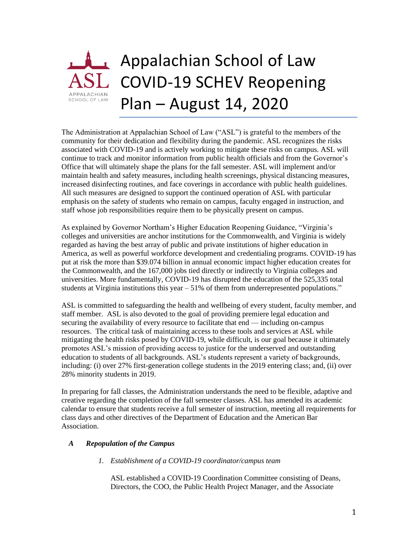

The Administration at Appalachian School of Law ("ASL") is grateful to the members of the community for their dedication and flexibility during the pandemic. ASL recognizes the risks associated with COVID-19 and is actively working to mitigate these risks on campus. ASL will continue to track and monitor information from public health officials and from the Governor's Office that will ultimately shape the plans for the fall semester. ASL will implement and/or maintain health and safety measures, including health screenings, physical distancing measures, increased disinfecting routines, and face coverings in accordance with public health guidelines. All such measures are designed to support the continued operation of ASL with particular emphasis on the safety of students who remain on campus, faculty engaged in instruction, and staff whose job responsibilities require them to be physically present on campus.

As explained by Governor Northam's Higher Education Reopening Guidance, "Virginia's colleges and universities are anchor institutions for the Commonwealth, and Virginia is widely regarded as having the best array of public and private institutions of higher education in America, as well as powerful workforce development and credentialing programs. COVID-19 has put at risk the more than \$39.074 billion in annual economic impact higher education creates for the Commonwealth, and the 167,000 jobs tied directly or indirectly to Virginia colleges and universities. More fundamentally, COVID-19 has disrupted the education of the 525,335 total students at Virginia institutions this year – 51% of them from underrepresented populations."

ASL is committed to safeguarding the health and wellbeing of every student, faculty member, and staff member. ASL is also devoted to the goal of providing premiere legal education and securing the availability of every resource to facilitate that end — including on-campus resources. The critical task of maintaining access to these tools and services at ASL while mitigating the health risks posed by COVID-19, while difficult, is our goal because it ultimately promotes ASL's mission of providing access to justice for the underserved and outstanding education to students of all backgrounds. ASL's students represent a variety of backgrounds, including: (i) over 27% first-generation college students in the 2019 entering class; and, (ii) over 28% minority students in 2019.

In preparing for fall classes, the Administration understands the need to be flexible, adaptive and creative regarding the completion of the fall semester classes. ASL has amended its academic calendar to ensure that students receive a full semester of instruction, meeting all requirements for class days and other directives of the Department of Education and the American Bar Association.

# *A Repopulation of the Campus*

# *1. Establishment of a COVID-19 coordinator/campus team*

ASL established a COVID-19 Coordination Committee consisting of Deans, Directors, the COO, the Public Health Project Manager, and the Associate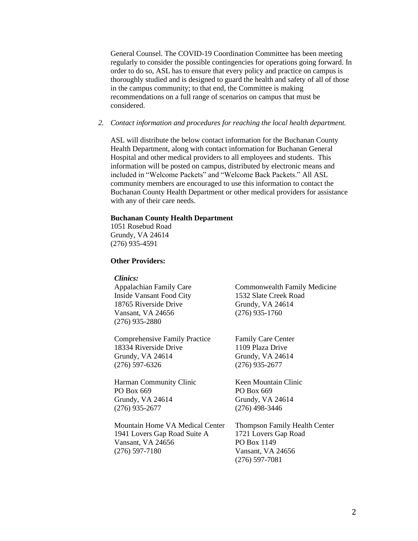General Counsel. The COVID-19 Coordination Committee has been meeting regularly to consider the possible contingencies for operations going forward. In order to do so, ASL has to ensure that every policy and practice on campus is thoroughly studied and is designed to guard the health and safety of all of those in the campus community; to that end, the Committee is making recommendations on a full range of scenarios on campus that must be considered.

### *2. Contact information and procedures for reaching the local health department.*

ASL will distribute the below contact information for the Buchanan County Health Department, along with contact information for Buchanan General Hospital and other medical providers to all employees and students. This information will be posted on campus, distributed by electronic means and included in "Welcome Packets" and "Welcome Back Packets." All ASL community members are encouraged to use this information to contact the Buchanan County Health Department or other medical providers for assistance with any of their care needs.

### **Buchanan County Health Department**

1051 Rosebud Road Grundy, VA 24614 (276) 935-4591

# **Other Providers:**

#### *Clinics:*

Appalachian Family Care Inside Vansant Food City 18765 Riverside Drive Vansant, VA 24656 (276) 935-2880

Comprehensive Family Practice 18334 Riverside Drive Grundy, VA 24614 (276) 597-6326

Harman Community Clinic PO Box 669 Grundy, VA 24614 (276) 935-2677

Mountain Home VA Medical Center 1941 Lovers Gap Road Suite A Vansant, VA 24656 (276) 597-7180

Commonwealth Family Medicine 1532 Slate Creek Road Grundy, VA 24614 (276) 935-1760

Family Care Center 1109 Plaza Drive Grundy, VA 24614 (276) 935-2677

Keen Mountain Clinic PO Box 669 Grundy, VA 24614 (276) 498-3446

Thompson Family Health Center 1721 Lovers Gap Road PO Box 1149 Vansant, VA 24656 (276) 597-7081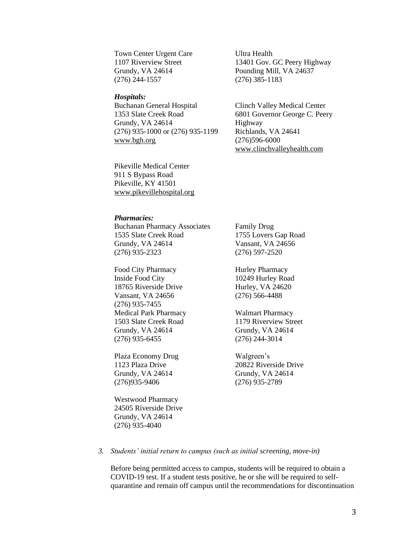Town Center Urgent Care 1107 Riverview Street Grundy, VA 24614 (276) 244-1557

#### *Hospitals:*

Buchanan General Hospital 1353 Slate Creek Road Grundy, VA 24614 (276) 935-1000 or (276) 935-1199 [www.bgh.org](http://www.bgh.org/)

Pikeville Medical Center 911 S Bypass Road Pikeville, KY 41501 [www.pikevillehospital.org](http://www.pikevillehospital.org/) Ultra Health 13401 Gov. GC Peery Highway Pounding Mill, VA 24637 (276) 385-1183

Clinch Valley Medical Center 6801 Governor George C. Peery Highway Richlands, VA 24641 (276)596-6000 [www.clinchvalleyhealth.com](http://www.clinchvalleyhealth.com/)

*Pharmacies:*

Buchanan Pharmacy Associates 1535 Slate Creek Road Grundy, VA 24614 (276) 935-2323

Food City Pharmacy Inside Food City 18765 Riverside Drive Vansant, VA 24656 (276) 935-7455 Medical Park Pharmacy 1503 Slate Creek Road Grundy, VA 24614 (276) 935-6455

Plaza Economy Drug 1123 Plaza Drive Grundy, VA 24614 (276)935-9406

Westwood Pharmacy 24505 Riverside Drive Grundy, VA 24614 (276) 935-4040

Family Drug 1755 Lovers Gap Road Vansant, VA 24656 (276) 597-2520

Hurley Pharmacy 10249 Hurley Road Hurley, VA 24620 (276) 566-4488

Walmart Pharmacy 1179 Riverview Street Grundy, VA 24614 (276) 244-3014

Walgreen's 20822 Riverside Drive Grundy, VA 24614 (276) 935-2789

#### *3. Students' initial return to campus (such as initial screening, move-in)*

Before being permitted access to campus, students will be required to obtain a COVID-19 test. If a student tests positive, he or she will be required to selfquarantine and remain off campus until the recommendations for discontinuation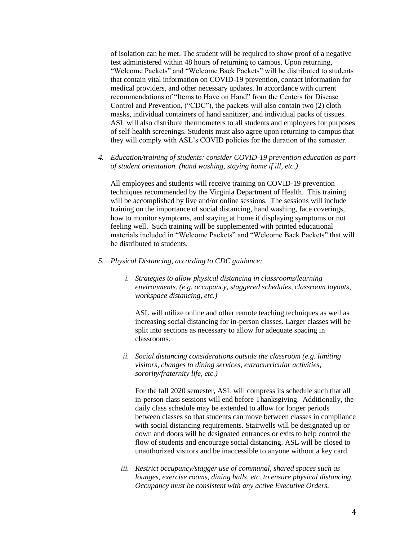of isolation can be met. The student will be required to show proof of a negative test administered within 48 hours of returning to campus. Upon returning, "Welcome Packets" and "Welcome Back Packets" will be distributed to students that contain vital information on COVID-19 prevention, contact information for medical providers, and other necessary updates. In accordance with current recommendations of "Items to Have on Hand" from the Centers for Disease Control and Prevention, ("CDC"), the packets will also contain two (2) cloth masks, individual containers of hand sanitizer, and individual packs of tissues. ASL will also distribute thermometers to all students and employees for purposes of self-health screenings. Students must also agree upon returning to campus that they will comply with ASL's COVID policies for the duration of the semester.

*4. Education/training of students: consider COVID-19 prevention education as part of student orientation. (hand washing, staying home if ill, etc.)*

All employees and students will receive training on COVID-19 prevention techniques recommended by the Virginia Department of Health. This training will be accomplished by live and/or online sessions. The sessions will include training on the importance of social distancing, hand washing, face coverings, how to monitor symptoms, and staying at home if displaying symptoms or not feeling well. Such training will be supplemented with printed educational materials included in "Welcome Packets" and "Welcome Back Packets" that will be distributed to students.

- *5. Physical Distancing, according to CDC guidance:*
	- *i. Strategies to allow physical distancing in classrooms/learning environments. (e.g. occupancy, staggered schedules, classroom layouts, workspace distancing, etc.)*

ASL will utilize online and other remote teaching techniques as well as increasing social distancing for in-person classes. Larger classes will be split into sections as necessary to allow for adequate spacing in classrooms.

*ii. Social distancing considerations outside the classroom (e.g. limiting visitors, changes to dining services, extracurricular activities, sorority/fraternity life, etc.)*

For the fall 2020 semester, ASL will compress its schedule such that all in-person class sessions will end before Thanksgiving. Additionally, the daily class schedule may be extended to allow for longer periods between classes so that students can move between classes in compliance with social distancing requirements. Stairwells will be designated up or down and doors will be designated entrances or exits to help control the flow of students and encourage social distancing. ASL will be closed to unauthorized visitors and be inaccessible to anyone without a key card.

*iii. Restrict occupancy/stagger use of communal, shared spaces such as lounges, exercise rooms, dining halls, etc. to ensure physical distancing. Occupancy must be consistent with any active Executive Orders.*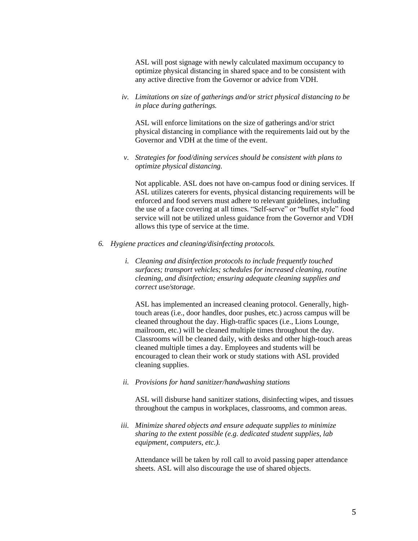ASL will post signage with newly calculated maximum occupancy to optimize physical distancing in shared space and to be consistent with any active directive from the Governor or advice from VDH.

*iv. Limitations on size of gatherings and/or strict physical distancing to be in place during gatherings.*

ASL will enforce limitations on the size of gatherings and/or strict physical distancing in compliance with the requirements laid out by the Governor and VDH at the time of the event.

*v. Strategies for food/dining services should be consistent with plans to optimize physical distancing.*

Not applicable. ASL does not have on-campus food or dining services. If ASL utilizes caterers for events, physical distancing requirements will be enforced and food servers must adhere to relevant guidelines, including the use of a face covering at all times. "Self-serve" or "buffet style" food service will not be utilized unless guidance from the Governor and VDH allows this type of service at the time.

- *6. Hygiene practices and cleaning/disinfecting protocols.*
	- *i. Cleaning and disinfection protocols to include frequently touched surfaces; transport vehicles; schedules for increased cleaning, routine cleaning, and disinfection; ensuring adequate cleaning supplies and correct use/storage.*

ASL has implemented an increased cleaning protocol. Generally, hightouch areas (i.e., door handles, door pushes, etc.) across campus will be cleaned throughout the day. High-traffic spaces (i.e., Lions Lounge, mailroom, etc.) will be cleaned multiple times throughout the day. Classrooms will be cleaned daily, with desks and other high-touch areas cleaned multiple times a day. Employees and students will be encouraged to clean their work or study stations with ASL provided cleaning supplies.

*ii. Provisions for hand sanitizer/handwashing stations*

ASL will disburse hand sanitizer stations, disinfecting wipes, and tissues throughout the campus in workplaces, classrooms, and common areas.

*iii. Minimize shared objects and ensure adequate supplies to minimize sharing to the extent possible (e.g. dedicated student supplies, lab equipment, computers, etc.).*

Attendance will be taken by roll call to avoid passing paper attendance sheets. ASL will also discourage the use of shared objects.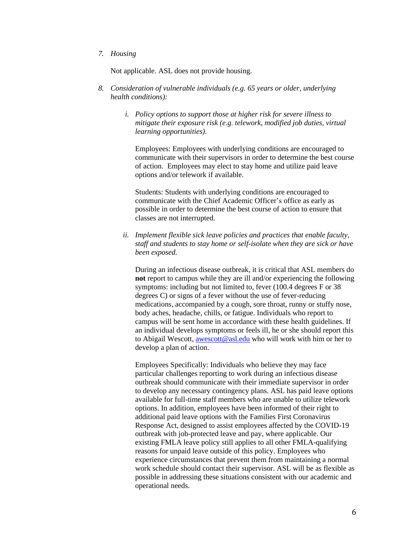*7. Housing*

Not applicable. ASL does not provide housing.

- *8. Consideration of vulnerable individuals (e.g. 65 years or older, underlying health conditions):*
	- *i. Policy options to support those at higher risk for severe illness to mitigate their exposure risk (e.g. telework, modified job duties, virtual learning opportunities).*

Employees: Employees with underlying conditions are encouraged to communicate with their supervisors in order to determine the best course of action. Employees may elect to stay home and utilize paid leave options and/or telework if available.

Students: Students with underlying conditions are encouraged to communicate with the Chief Academic Officer's office as early as possible in order to determine the best course of action to ensure that classes are not interrupted.

*ii. Implement flexible sick leave policies and practices that enable faculty, staff and students to stay home or self-isolate when they are sick or have been exposed.*

During an infectious disease outbreak, it is critical that ASL members do **not** report to campus while they are ill and/or experiencing the following symptoms: including but not limited to, fever (100.4 degrees F or 38) degrees C) or signs of a fever without the use of fever-reducing medications, accompanied by a cough, sore throat, runny or stuffy nose, body aches, headache, chills, or fatigue. Individuals who report to campus will be sent home in accordance with these health guidelines. If an individual develops symptoms or feels ill, he or she should report this to Abigail Wescott, [awescott@asl.edu](mailto:awescott@asl.edu) who will work with him or her to develop a plan of action.

Employees Specifically: Individuals who believe they may face particular challenges reporting to work during an infectious disease outbreak should communicate with their immediate supervisor in order to develop any necessary contingency plans. ASL has paid leave options available for full-time staff members who are unable to utilize telework options. In addition, employees have been informed of their right to additional paid leave options with the Families First Coronavirus Response Act, designed to assist employees affected by the COVID-19 outbreak with job-protected leave and pay, where applicable. Our existing FMLA leave policy still applies to all other FMLA-qualifying reasons for unpaid leave outside of this policy. Employees who experience circumstances that prevent them from maintaining a normal work schedule should contact their supervisor. ASL will be as flexible as possible in addressing these situations consistent with our academic and operational needs.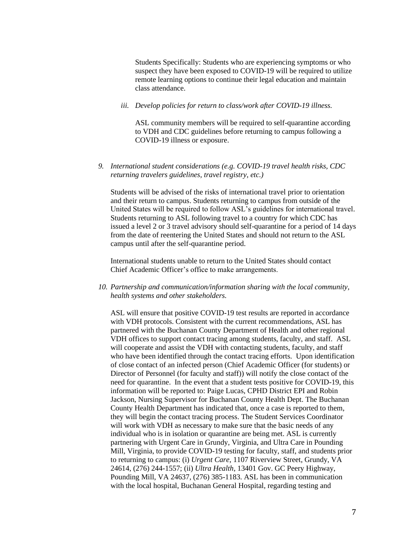Students Specifically: Students who are experiencing symptoms or who suspect they have been exposed to COVID-19 will be required to utilize remote learning options to continue their legal education and maintain class attendance.

# *iii. Develop policies for return to class/work after COVID-19 illness.*

ASL community members will be required to self-quarantine according to VDH and CDC guidelines before returning to campus following a COVID-19 illness or exposure.

## *9. International student considerations (e.g. COVID-19 travel health risks, CDC returning travelers guidelines, travel registry, etc.)*

Students will be advised of the risks of international travel prior to orientation and their return to campus. Students returning to campus from outside of the United States will be required to follow ASL's guidelines for international travel. Students returning to ASL following travel to a country for which CDC has issued a level 2 or 3 travel advisory should self-quarantine for a period of 14 days from the date of reentering the United States and should not return to the ASL campus until after the self-quarantine period.

International students unable to return to the United States should contact Chief Academic Officer's office to make arrangements.

*10. Partnership and communication/information sharing with the local community, health systems and other stakeholders.*

ASL will ensure that positive COVID-19 test results are reported in accordance with VDH protocols. Consistent with the current recommendations, ASL has partnered with the Buchanan County Department of Health and other regional VDH offices to support contact tracing among students, faculty, and staff. ASL will cooperate and assist the VDH with contacting students, faculty, and staff who have been identified through the contact tracing efforts. Upon identification of close contact of an infected person (Chief Academic Officer (for students) or Director of Personnel (for faculty and staff)) will notify the close contact of the need for quarantine. In the event that a student tests positive for COVID-19, this information will be reported to: Paige Lucas, CPHD District EPI and Robin Jackson, Nursing Supervisor for Buchanan County Health Dept. The Buchanan County Health Department has indicated that, once a case is reported to them, they will begin the contact tracing process. The Student Services Coordinator will work with VDH as necessary to make sure that the basic needs of any individual who is in isolation or quarantine are being met. ASL is currently partnering with Urgent Care in Grundy, Virginia, and Ultra Care in Pounding Mill, Virginia, to provide COVID-19 testing for faculty, staff, and students prior to returning to campus: (i) *Urgent Care*, 1107 Riverview Street, Grundy, VA 24614, (276) 244-1557; (ii) *Ultra Health*, 13401 Gov. GC Peery Highway, Pounding Mill, VA 24637, (276) 385-1183. ASL has been in communication with the local hospital, Buchanan General Hospital, regarding testing and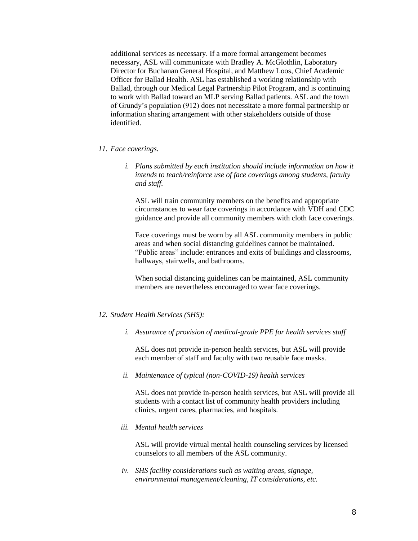additional services as necessary. If a more formal arrangement becomes necessary, ASL will communicate with Bradley A. McGlothlin, Laboratory Director for Buchanan General Hospital, and Matthew Loos, Chief Academic Officer for Ballad Health. ASL has established a working relationship with Ballad, through our Medical Legal Partnership Pilot Program, and is continuing to work with Ballad toward an MLP serving Ballad patients. ASL and the town of Grundy's population (912) does not necessitate a more formal partnership or information sharing arrangement with other stakeholders outside of those identified.

#### *11. Face coverings.*

*i. Plans submitted by each institution should include information on how it intends to teach/reinforce use of face coverings among students, faculty and staff.*

ASL will train community members on the benefits and appropriate circumstances to wear face coverings in accordance with VDH and CDC guidance and provide all community members with cloth face coverings.

Face coverings must be worn by all ASL community members in public areas and when social distancing guidelines cannot be maintained. "Public areas" include: entrances and exits of buildings and classrooms, hallways, stairwells, and bathrooms.

When social distancing guidelines can be maintained, ASL community members are nevertheless encouraged to wear face coverings.

### *12. Student Health Services (SHS):*

*i. Assurance of provision of medical-grade PPE for health services staff*

ASL does not provide in-person health services, but ASL will provide each member of staff and faculty with two reusable face masks.

*ii. Maintenance of typical (non-COVID-19) health services*

ASL does not provide in-person health services, but ASL will provide all students with a contact list of community health providers including clinics, urgent cares, pharmacies, and hospitals.

*iii. Mental health services*

ASL will provide virtual mental health counseling services by licensed counselors to all members of the ASL community.

*iv. SHS facility considerations such as waiting areas, signage, environmental management/cleaning, IT considerations, etc.*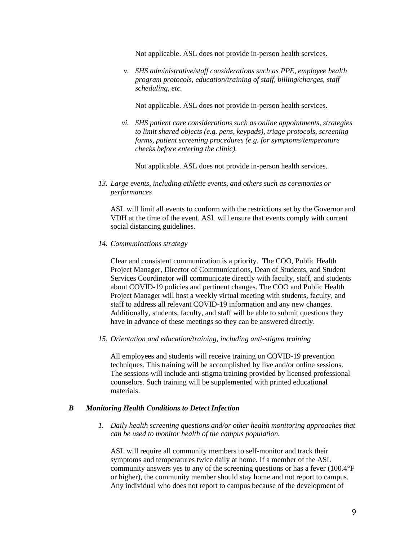Not applicable. ASL does not provide in-person health services.

*v. SHS administrative/staff considerations such as PPE, employee health program protocols, education/training of staff, billing/charges, staff scheduling, etc.*

Not applicable. ASL does not provide in-person health services.

*vi. SHS patient care considerations such as online appointments, strategies to limit shared objects (e.g. pens, keypads), triage protocols, screening forms, patient screening procedures (e.g. for symptoms/temperature checks before entering the clinic).*

Not applicable. ASL does not provide in-person health services.

*13. Large events, including athletic events, and others such as ceremonies or performances*

ASL will limit all events to conform with the restrictions set by the Governor and VDH at the time of the event. ASL will ensure that events comply with current social distancing guidelines.

### *14. Communications strategy*

Clear and consistent communication is a priority. The COO, Public Health Project Manager, Director of Communications, Dean of Students, and Student Services Coordinator will communicate directly with faculty, staff, and students about COVID-19 policies and pertinent changes. The COO and Public Health Project Manager will host a weekly virtual meeting with students, faculty, and staff to address all relevant COVID-19 information and any new changes. Additionally, students, faculty, and staff will be able to submit questions they have in advance of these meetings so they can be answered directly.

*15. Orientation and education/training, including anti-stigma training*

All employees and students will receive training on COVID-19 prevention techniques. This training will be accomplished by live and/or online sessions. The sessions will include anti-stigma training provided by licensed professional counselors. Such training will be supplemented with printed educational materials.

#### *B Monitoring Health Conditions to Detect Infection*

*1. Daily health screening questions and/or other health monitoring approaches that can be used to monitor health of the campus population.*

ASL will require all community members to self-monitor and track their symptoms and temperatures twice daily at home. If a member of the ASL community answers yes to any of the screening questions or has a fever (100.4°F or higher), the community member should stay home and not report to campus. Any individual who does not report to campus because of the development of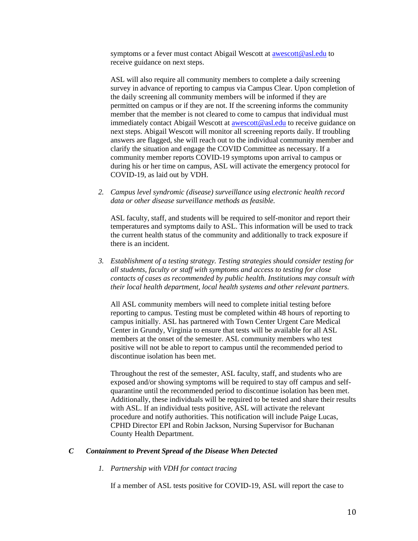symptoms or a fever must contact Abigail Wescott a[t awescott@asl.edu](mailto:awescott@asl.edu) to receive guidance on next steps.

ASL will also require all community members to complete a daily screening survey in advance of reporting to campus via Campus Clear. Upon completion of the daily screening all community members will be informed if they are permitted on campus or if they are not. If the screening informs the community member that the member is not cleared to come to campus that individual must immediately contact Abigail Wescott at **awescott@asl.edu** to receive guidance on next steps. Abigail Wescott will monitor all screening reports daily. If troubling answers are flagged, she will reach out to the individual community member and clarify the situation and engage the COVID Committee as necessary. If a community member reports COVID-19 symptoms upon arrival to campus or during his or her time on campus, ASL will activate the emergency protocol for COVID-19, as laid out by VDH.

*2. Campus level syndromic (disease) surveillance using electronic health record data or other disease surveillance methods as feasible.*

ASL faculty, staff, and students will be required to self-monitor and report their temperatures and symptoms daily to ASL. This information will be used to track the current health status of the community and additionally to track exposure if there is an incident.

*3. Establishment of a testing strategy. Testing strategies should consider testing for all students, faculty or staff with symptoms and access to testing for close contacts of cases as recommended by public health. Institutions may consult with their local health department, local health systems and other relevant partners.*

All ASL community members will need to complete initial testing before reporting to campus. Testing must be completed within 48 hours of reporting to campus initially. ASL has partnered with Town Center Urgent Care Medical Center in Grundy, Virginia to ensure that tests will be available for all ASL members at the onset of the semester. ASL community members who test positive will not be able to report to campus until the recommended period to discontinue isolation has been met.

Throughout the rest of the semester, ASL faculty, staff, and students who are exposed and/or showing symptoms will be required to stay off campus and selfquarantine until the recommended period to discontinue isolation has been met. Additionally, these individuals will be required to be tested and share their results with ASL. If an individual tests positive, ASL will activate the relevant procedure and notify authorities. This notification will include Paige Lucas, CPHD Director EPI and Robin Jackson, Nursing Supervisor for Buchanan County Health Department.

# *C Containment to Prevent Spread of the Disease When Detected*

*1. Partnership with VDH for contact tracing*

If a member of ASL tests positive for COVID-19, ASL will report the case to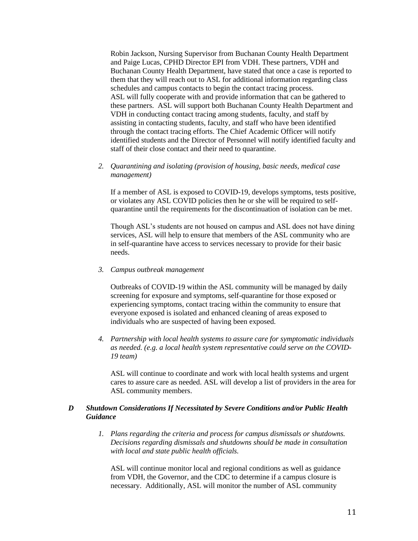Robin Jackson, Nursing Supervisor from Buchanan County Health Department and Paige Lucas, CPHD Director EPI from VDH. These partners, VDH and Buchanan County Health Department, have stated that once a case is reported to them that they will reach out to ASL for additional information regarding class schedules and campus contacts to begin the contact tracing process. ASL will fully cooperate with and provide information that can be gathered to these partners. ASL will support both Buchanan County Health Department and VDH in conducting contact tracing among students, faculty, and staff by assisting in contacting students, faculty, and staff who have been identified through the contact tracing efforts. The Chief Academic Officer will notify identified students and the Director of Personnel will notify identified faculty and staff of their close contact and their need to quarantine.

# *2. Quarantining and isolating (provision of housing, basic needs, medical case management)*

If a member of ASL is exposed to COVID-19, develops symptoms, tests positive, or violates any ASL COVID policies then he or she will be required to selfquarantine until the requirements for the discontinuation of isolation can be met.

Though ASL's students are not housed on campus and ASL does not have dining services, ASL will help to ensure that members of the ASL community who are in self-quarantine have access to services necessary to provide for their basic needs.

*3. Campus outbreak management*

Outbreaks of COVID-19 within the ASL community will be managed by daily screening for exposure and symptoms, self-quarantine for those exposed or experiencing symptoms, contact tracing within the community to ensure that everyone exposed is isolated and enhanced cleaning of areas exposed to individuals who are suspected of having been exposed.

*4. Partnership with local health systems to assure care for symptomatic individuals as needed. (e.g. a local health system representative could serve on the COVID-19 team)*

ASL will continue to coordinate and work with local health systems and urgent cares to assure care as needed. ASL will develop a list of providers in the area for ASL community members.

# *D Shutdown Considerations If Necessitated by Severe Conditions and/or Public Health Guidance*

*1. Plans regarding the criteria and process for campus dismissals or shutdowns. Decisions regarding dismissals and shutdowns should be made in consultation with local and state public health officials.*

ASL will continue monitor local and regional conditions as well as guidance from VDH, the Governor, and the CDC to determine if a campus closure is necessary. Additionally, ASL will monitor the number of ASL community